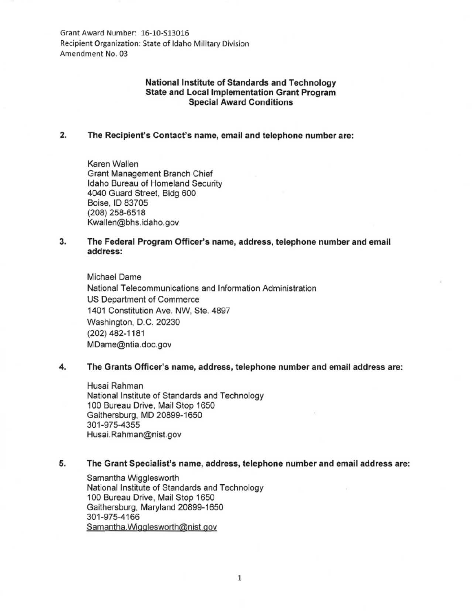Grant Award Number: 16-10-513016 Recipient Organization: State of Idaho Military Division Amendment No. 03

# National Institute of Standards and Technology State and Local Implementation Grant Program Special Award Conditions

# 2. The Recipient's Contact's name, email and telephone number are:

Karen Wallen Grant Management Branch Chief Idaho Bureau of Homeland Security 4040 Guard Street, Bldg 600 Boise, ID 83705 (208) 258-6518 Kwallen@bhs. idaho.gov

## 3. The Federal Program Officer's name, address, telephone number and email address:

Michael Dame National Telecommunications and Information Administration US Department of Commerce 1401 Constitution Ave. NW, Ste. 4897 Washington, D.C. 20230 (202) 482-1181 MDame@ntia.doc.gov

### 4. The Grants Officer's name, address, telephone number and email address are:

Husai Rahman National Institute of Standards and Technology 100 Bureau Drive, Mail Stop 1650 Gaithersburg, MD 20899-1650 301-975-4355 Husai. Rahman@nist.gov

#### 5. The Grant Specialist's name, address, telephone number and email address are:

Samantha Wigglesworth National Institute of Standards and Technology 100 Bureau Drive, Mail Stop 1650 Gaithersburg, Maryland 20899-1650 301-975-4166 Samantha. Wigglesworth@nist.gov